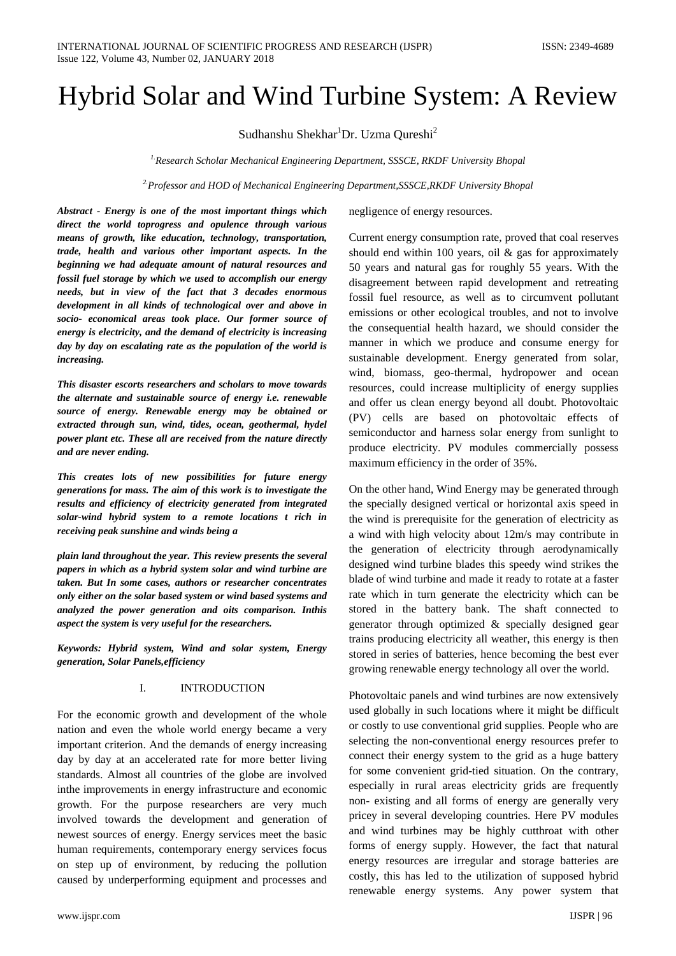# Hybrid Solar and Wind Turbine System: A Review

Sudhanshu Shekhar<sup>1</sup>Dr. Uzma Qureshi<sup>2</sup>

*1.Research Scholar Mechanical Engineering Department, SSSCE, RKDF University Bhopal*

*2.Professor and HOD of Mechanical Engineering Department,SSSCE,RKDF University Bhopal*

*Abstract - Energy is one of the most important things which direct the world toprogress and opulence through various means of growth, like education, technology, transportation, trade, health and various other important aspects. In the beginning we had adequate amount of natural resources and fossil fuel storage by which we used to accomplish our energy needs, but in view of the fact that 3 decades enormous development in all kinds of technological over and above in socio- economical areas took place. Our former source of energy is electricity, and the demand of electricity is increasing day by day on escalating rate as the population of the world is increasing.*

*This disaster escorts researchers and scholars to move towards the alternate and sustainable source of energy i.e. renewable source of energy. Renewable energy may be obtained or extracted through sun, wind, tides, ocean, geothermal, hydel power plant etc. These all are received from the nature directly and are never ending.* 

*This creates lots of new possibilities for future energy generations for mass. The aim of this work is to investigate the results and efficiency of electricity generated from integrated solar-wind hybrid system to a remote locations t rich in receiving peak sunshine and winds being a* 

*plain land throughout the year. This review presents the several papers in which as a hybrid system solar and wind turbine are taken. But In some cases, authors or researcher concentrates only either on the solar based system or wind based systems and analyzed the power generation and oits comparison. Inthis aspect the system is very useful for the researchers.*

*Keywords: Hybrid system, Wind and solar system, Energy generation, Solar Panels,efficiency*

### I. INTRODUCTION

For the economic growth and development of the whole nation and even the whole world energy became a very important criterion. And the demands of energy increasing day by day at an accelerated rate for more better living standards. Almost all countries of the globe are involved inthe improvements in energy infrastructure and economic growth. For the purpose researchers are very much involved towards the development and generation of newest sources of energy. Energy services meet the basic human requirements, contemporary energy services focus on step up of environment, by reducing the pollution caused by underperforming equipment and processes and

negligence of energy resources.

Current energy consumption rate, proved that coal reserves should end within 100 years, oil & gas for approximately 50 years and natural gas for roughly 55 years. With the disagreement between rapid development and retreating fossil fuel resource, as well as to circumvent pollutant emissions or other ecological troubles, and not to involve the consequential health hazard, we should consider the manner in which we produce and consume energy for sustainable development. Energy generated from solar, wind, biomass, geo-thermal, hydropower and ocean resources, could increase multiplicity of energy supplies and offer us clean energy beyond all doubt. Photovoltaic (PV) cells are based on photovoltaic effects of semiconductor and harness solar energy from sunlight to produce electricity. PV modules commercially possess maximum efficiency in the order of 35%.

On the other hand, Wind Energy may be generated through the specially designed vertical or horizontal axis speed in the wind is prerequisite for the generation of electricity as a wind with high velocity about 12m/s may contribute in the generation of electricity through aerodynamically designed wind turbine blades this speedy wind strikes the blade of wind turbine and made it ready to rotate at a faster rate which in turn generate the electricity which can be stored in the battery bank. The shaft connected to generator through optimized & specially designed gear trains producing electricity all weather, this energy is then stored in series of batteries, hence becoming the best ever growing renewable energy technology all over the world.

Photovoltaic panels and wind turbines are now extensively used globally in such locations where it might be difficult or costly to use conventional grid supplies. People who are selecting the non-conventional energy resources prefer to connect their energy system to the grid as a huge battery for some convenient grid-tied situation. On the contrary, especially in rural areas electricity grids are frequently non- existing and all forms of energy are generally very pricey in several developing countries. Here PV modules and wind turbines may be highly cutthroat with other forms of energy supply. However, the fact that natural energy resources are irregular and storage batteries are costly, this has led to the utilization of supposed hybrid renewable energy systems. Any power system that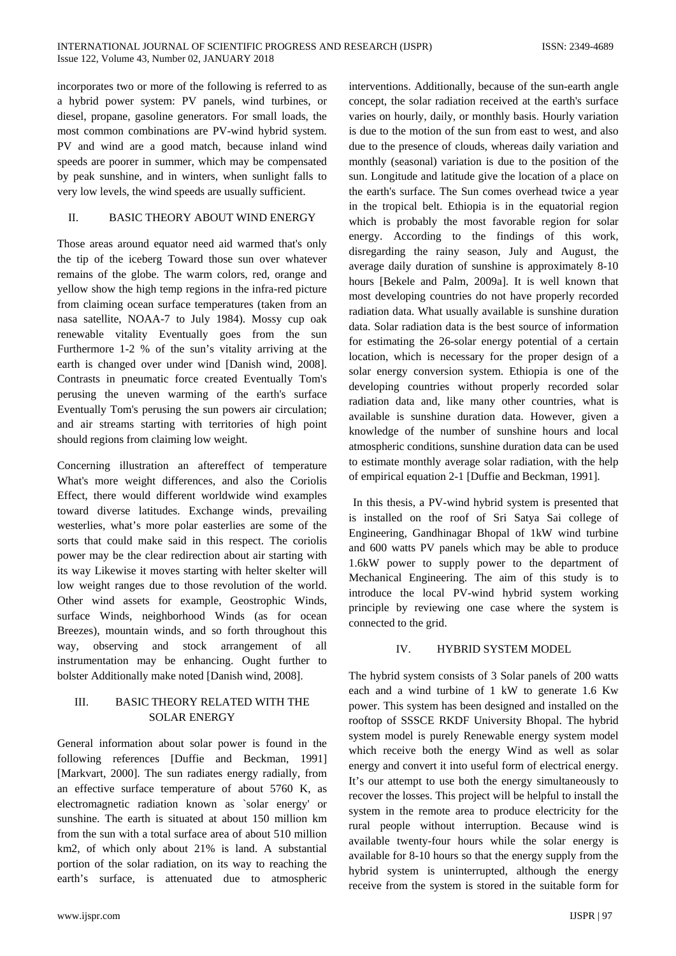incorporates two or more of the following is referred to as a hybrid power system: PV panels, wind turbines, or diesel, propane, gasoline generators. For small loads, the most common combinations are PV-wind hybrid system. PV and wind are a good match, because inland wind speeds are poorer in summer, which may be compensated by peak sunshine, and in winters, when sunlight falls to very low levels, the wind speeds are usually sufficient.

## II. BASIC THEORY ABOUT WIND ENERGY

Those areas around equator need aid warmed that's only the tip of the iceberg Toward those sun over whatever remains of the globe. The warm colors, red, orange and yellow show the high temp regions in the infra-red picture from claiming ocean surface temperatures (taken from an nasa satellite, NOAA-7 to July 1984). Mossy cup oak renewable vitality Eventually goes from the sun Furthermore 1-2 % of the sun's vitality arriving at the earth is changed over under wind [Danish wind, 2008]. Contrasts in pneumatic force created Eventually Tom's perusing the uneven warming of the earth's surface Eventually Tom's perusing the sun powers air circulation; and air streams starting with territories of high point should regions from claiming low weight.

Concerning illustration an aftereffect of temperature What's more weight differences, and also the Coriolis Effect, there would different worldwide wind examples toward diverse latitudes. Exchange winds, prevailing westerlies, what's more polar easterlies are some of the sorts that could make said in this respect. The coriolis power may be the clear redirection about air starting with its way Likewise it moves starting with helter skelter will low weight ranges due to those revolution of the world. Other wind assets for example, Geostrophic Winds, surface Winds, neighborhood Winds (as for ocean Breezes), mountain winds, and so forth throughout this way, observing and stock arrangement of all instrumentation may be enhancing. Ought further to bolster Additionally make noted [Danish wind, 2008].

## III. BASIC THEORY RELATED WITH THE SOLAR ENERGY

General information about solar power is found in the following references [Duffie and Beckman, 1991] [Markvart, 2000]. The sun radiates energy radially, from an effective surface temperature of about 5760 K, as electromagnetic radiation known as `solar energy' or sunshine. The earth is situated at about 150 million km from the sun with a total surface area of about 510 million km2, of which only about 21% is land. A substantial portion of the solar radiation, on its way to reaching the earth's surface, is attenuated due to atmospheric

interventions. Additionally, because of the sun-earth angle concept, the solar radiation received at the earth's surface varies on hourly, daily, or monthly basis. Hourly variation is due to the motion of the sun from east to west, and also due to the presence of clouds, whereas daily variation and monthly (seasonal) variation is due to the position of the sun. Longitude and latitude give the location of a place on the earth's surface. The Sun comes overhead twice a year in the tropical belt. Ethiopia is in the equatorial region which is probably the most favorable region for solar energy. According to the findings of this work, disregarding the rainy season, July and August, the average daily duration of sunshine is approximately 8-10 hours [Bekele and Palm, 2009a]. It is well known that most developing countries do not have properly recorded radiation data. What usually available is sunshine duration data. Solar radiation data is the best source of information for estimating the 26-solar energy potential of a certain location, which is necessary for the proper design of a solar energy conversion system. Ethiopia is one of the developing countries without properly recorded solar radiation data and, like many other countries, what is available is sunshine duration data. However, given a knowledge of the number of sunshine hours and local atmospheric conditions, sunshine duration data can be used to estimate monthly average solar radiation, with the help of empirical equation 2-1 [Duffie and Beckman, 1991].

In this thesis, a PV-wind hybrid system is presented that is installed on the roof of Sri Satya Sai college of Engineering, Gandhinagar Bhopal of 1kW wind turbine and 600 watts PV panels which may be able to produce 1.6kW power to supply power to the department of Mechanical Engineering. The aim of this study is to introduce the local PV-wind hybrid system working principle by reviewing one case where the system is connected to the grid.

## IV. HYBRID SYSTEM MODEL

The hybrid system consists of 3 Solar panels of 200 watts each and a wind turbine of 1 kW to generate 1.6 Kw power. This system has been designed and installed on the rooftop of SSSCE RKDF University Bhopal. The hybrid system model is purely Renewable energy system model which receive both the energy Wind as well as solar energy and convert it into useful form of electrical energy. It's our attempt to use both the energy simultaneously to recover the losses. This project will be helpful to install the system in the remote area to produce electricity for the rural people without interruption. Because wind is available twenty-four hours while the solar energy is available for 8-10 hours so that the energy supply from the hybrid system is uninterrupted, although the energy receive from the system is stored in the suitable form for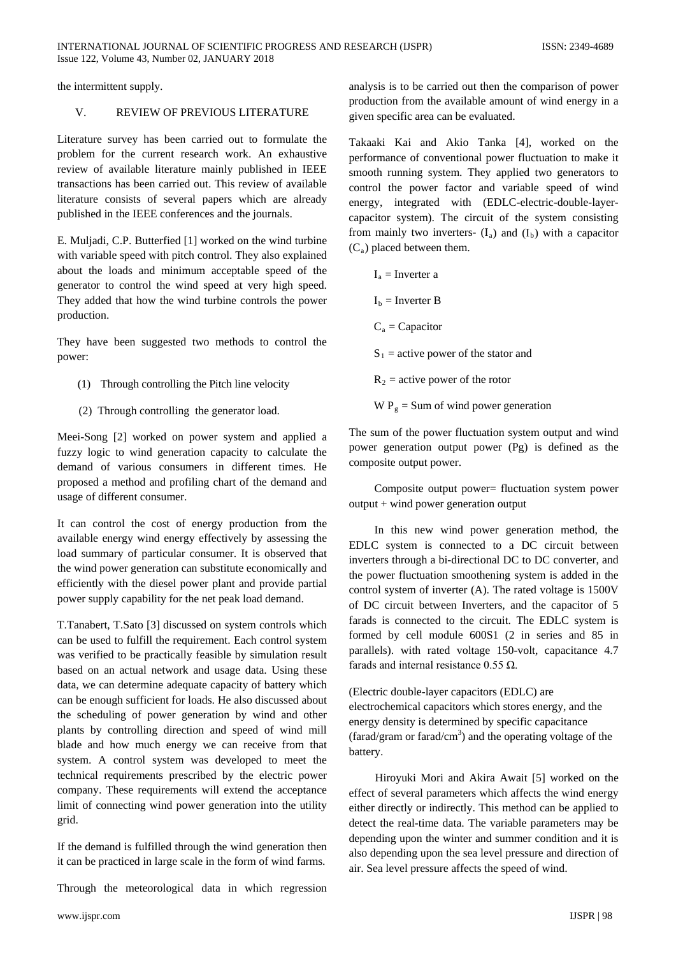the intermittent supply.

## V. REVIEW OF PREVIOUS LITERATURE

Literature survey has been carried out to formulate the problem for the current research work. An exhaustive review of available literature mainly published in IEEE transactions has been carried out. This review of available literature consists of several papers which are already published in the IEEE conferences and the journals.

E. Muljadi, C.P. Butterfied [1] worked on the wind turbine with variable speed with pitch control. They also explained about the loads and minimum acceptable speed of the generator to control the wind speed at very high speed. They added that how the wind turbine controls the power production.

They have been suggested two methods to control the power:

- (1) Through controlling the Pitch line velocity
- (2) Through controlling the generator load.

Meei-Song [2] worked on power system and applied a fuzzy logic to wind generation capacity to calculate the demand of various consumers in different times. He proposed a method and profiling chart of the demand and usage of different consumer.

It can control the cost of energy production from the available energy wind energy effectively by assessing the load summary of particular consumer. It is observed that the wind power generation can substitute economically and efficiently with the diesel power plant and provide partial power supply capability for the net peak load demand.

T.Tanabert, T.Sato [3] discussed on system controls which can be used to fulfill the requirement. Each control system was verified to be practically feasible by simulation result based on an actual network and usage data. Using these data, we can determine adequate capacity of battery which can be enough sufficient for loads. He also discussed about the scheduling of power generation by wind and other plants by controlling direction and speed of wind mill blade and how much energy we can receive from that system. A control system was developed to meet the technical requirements prescribed by the electric power company. These requirements will extend the acceptance limit of connecting wind power generation into the utility grid.

If the demand is fulfilled through the wind generation then it can be practiced in large scale in the form of wind farms.

Through the meteorological data in which regression

analysis is to be carried out then the comparison of power production from the available amount of wind energy in a given specific area can be evaluated.

Takaaki Kai and Akio Tanka [4], worked on the performance of conventional power fluctuation to make it smooth running system. They applied two generators to control the power factor and variable speed of wind energy, integrated with (EDLC-electric-double-layercapacitor system). The circuit of the system consisting from mainly two inverters-  $(I_a)$  and  $(I_b)$  with a capacitor  $(C_a)$  placed between them.

| $I_a$ = Inverter a                     |
|----------------------------------------|
| $Ib$ = Inverter B                      |
| $C_a = Capacitor$                      |
| $S_1$ = active power of the stator and |
| $R_2$ = active power of the rotor      |
| $W P_g$ = Sum of wind power generation |

The sum of the power fluctuation system output and wind power generation output power (Pg) is defined as the composite output power.

Composite output power= fluctuation system power output + wind power generation output

In this new wind power generation method, the EDLC system is connected to a DC circuit between inverters through a bi-directional DC to DC converter, and the power fluctuation smoothening system is added in the control system of inverter (A). The rated voltage is 1500V of DC circuit between Inverters, and the capacitor of 5 farads is connected to the circuit. The EDLC system is formed by cell module 600S1 (2 in series and 85 in parallels). with rated voltage 150-volt, capacitance 4.7 farads and internal resistance  $0.55 \Omega$ .

(Electric double-layer capacitors (EDLC) are electrochemical capacitors which stores energy, and the energy density is determined by specific capacitance  $(farad/gram$  or  $farad/cm<sup>3</sup>$  and the operating voltage of the battery.

Hiroyuki Mori and Akira Await [5] worked on the effect of several parameters which affects the wind energy either directly or indirectly. This method can be applied to detect the real-time data. The variable parameters may be depending upon the winter and summer condition and it is also depending upon the sea level pressure and direction of air. Sea level pressure affects the speed of wind.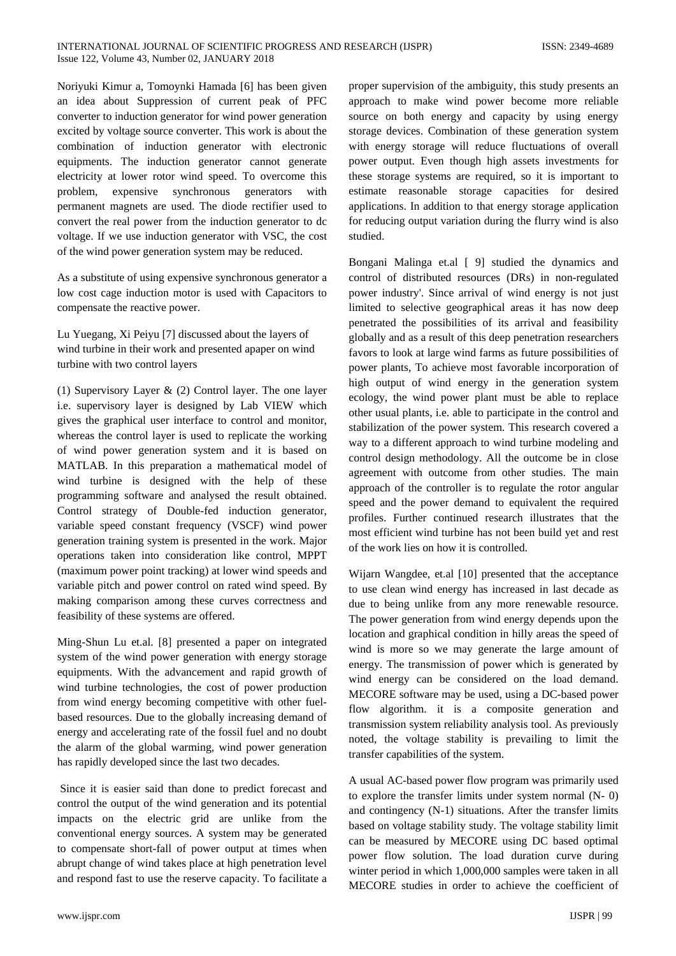Noriyuki Kimur a, Tomoynki Hamada [6] has been given an idea about Suppression of current peak of PFC converter to induction generator for wind power generation excited by voltage source converter. This work is about the combination of induction generator with electronic equipments. The induction generator cannot generate electricity at lower rotor wind speed. To overcome this problem, expensive synchronous generators with permanent magnets are used. The diode rectifier used to convert the real power from the induction generator to dc voltage. If we use induction generator with VSC, the cost of the wind power generation system may be reduced.

As a substitute of using expensive synchronous generator a low cost cage induction motor is used with Capacitors to compensate the reactive power.

Lu Yuegang, Xi Peiyu [7] discussed about the layers of wind turbine in their work and presented apaper on wind turbine with two control layers

(1) Supervisory Layer & (2) Control layer. The one layer i.e. supervisory layer is designed by Lab VIEW which gives the graphical user interface to control and monitor, whereas the control layer is used to replicate the working of wind power generation system and it is based on MATLAB. In this preparation a mathematical model of wind turbine is designed with the help of these programming software and analysed the result obtained. Control strategy of Double-fed induction generator, variable speed constant frequency (VSCF) wind power generation training system is presented in the work. Major operations taken into consideration like control, MPPT (maximum power point tracking) at lower wind speeds and variable pitch and power control on rated wind speed. By making comparison among these curves correctness and feasibility of these systems are offered.

Ming-Shun Lu et.al. [8] presented a paper on integrated system of the wind power generation with energy storage equipments. With the advancement and rapid growth of wind turbine technologies, the cost of power production from wind energy becoming competitive with other fuelbased resources. Due to the globally increasing demand of energy and accelerating rate of the fossil fuel and no doubt the alarm of the global warming, wind power generation has rapidly developed since the last two decades.

Since it is easier said than done to predict forecast and control the output of the wind generation and its potential impacts on the electric grid are unlike from the conventional energy sources. A system may be generated to compensate short-fall of power output at times when abrupt change of wind takes place at high penetration level and respond fast to use the reserve capacity. To facilitate a

proper supervision of the ambiguity, this study presents an approach to make wind power become more reliable source on both energy and capacity by using energy storage devices. Combination of these generation system with energy storage will reduce fluctuations of overall power output. Even though high assets investments for these storage systems are required, so it is important to estimate reasonable storage capacities for desired applications. In addition to that energy storage application for reducing output variation during the flurry wind is also studied.

Bongani Malinga et.al [ 9] studied the dynamics and control of distributed resources (DRs) in non-regulated power industry'. Since arrival of wind energy is not just limited to selective geographical areas it has now deep penetrated the possibilities of its arrival and feasibility globally and as a result of this deep penetration researchers favors to look at large wind farms as future possibilities of power plants, To achieve most favorable incorporation of high output of wind energy in the generation system ecology, the wind power plant must be able to replace other usual plants, i.e. able to participate in the control and stabilization of the power system. This research covered a way to a different approach to wind turbine modeling and control design methodology. All the outcome be in close agreement with outcome from other studies. The main approach of the controller is to regulate the rotor angular speed and the power demand to equivalent the required profiles. Further continued research illustrates that the most efficient wind turbine has not been build yet and rest of the work lies on how it is controlled.

Wijarn Wangdee, et.al [10] presented that the acceptance to use clean wind energy has increased in last decade as due to being unlike from any more renewable resource. The power generation from wind energy depends upon the location and graphical condition in hilly areas the speed of wind is more so we may generate the large amount of energy. The transmission of power which is generated by wind energy can be considered on the load demand. MECORE software may be used, using a DC-based power flow algorithm. it is a composite generation and transmission system reliability analysis tool. As previously noted, the voltage stability is prevailing to limit the transfer capabilities of the system.

A usual AC-based power flow program was primarily used to explore the transfer limits under system normal (N- 0) and contingency (N-1) situations. After the transfer limits based on voltage stability study. The voltage stability limit can be measured by MECORE using DC based optimal power flow solution. The load duration curve during winter period in which 1,000,000 samples were taken in all MECORE studies in order to achieve the coefficient of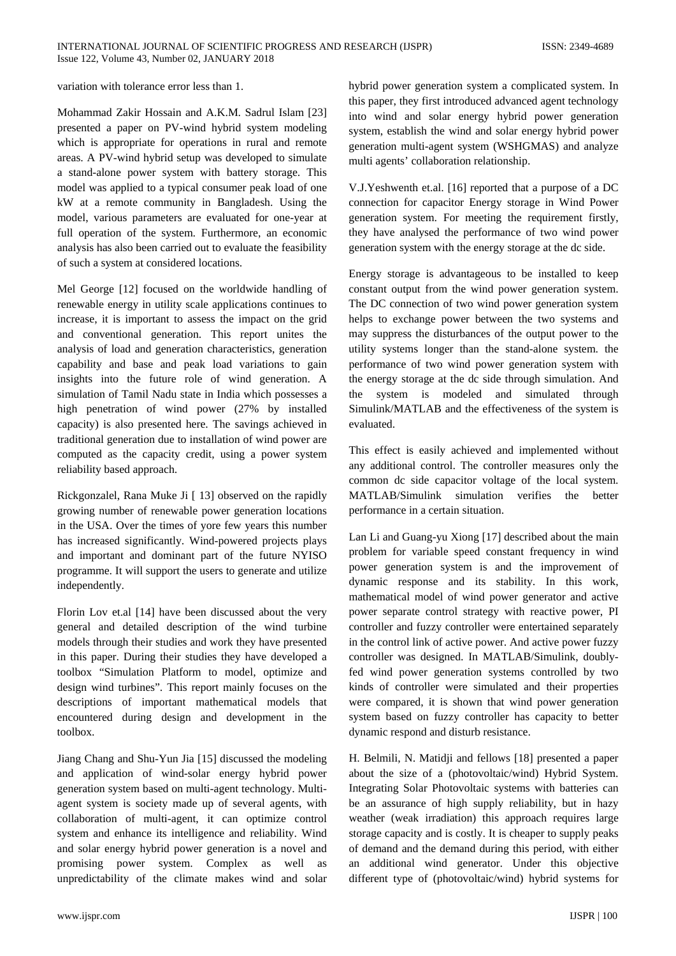variation with tolerance error less than 1.

Mohammad Zakir Hossain and A.K.M. Sadrul Islam [23] presented a paper on PV-wind hybrid system modeling which is appropriate for operations in rural and remote areas. A PV-wind hybrid setup was developed to simulate a stand-alone power system with battery storage. This model was applied to a typical consumer peak load of one kW at a remote community in Bangladesh. Using the model, various parameters are evaluated for one-year at full operation of the system. Furthermore, an economic analysis has also been carried out to evaluate the feasibility of such a system at considered locations.

Mel George [12] focused on the worldwide handling of renewable energy in utility scale applications continues to increase, it is important to assess the impact on the grid and conventional generation. This report unites the analysis of load and generation characteristics, generation capability and base and peak load variations to gain insights into the future role of wind generation. A simulation of Tamil Nadu state in India which possesses a high penetration of wind power (27% by installed capacity) is also presented here. The savings achieved in traditional generation due to installation of wind power are computed as the capacity credit, using a power system reliability based approach.

Rickgonzalel, Rana Muke Ji [ 13] observed on the rapidly growing number of renewable power generation locations in the USA. Over the times of yore few years this number has increased significantly. Wind-powered projects plays and important and dominant part of the future NYISO programme. It will support the users to generate and utilize independently.

Florin Lov et.al [14] have been discussed about the very general and detailed description of the wind turbine models through their studies and work they have presented in this paper. During their studies they have developed a toolbox "Simulation Platform to model, optimize and design wind turbines". This report mainly focuses on the descriptions of important mathematical models that encountered during design and development in the toolbox.

Jiang Chang and Shu-Yun Jia [15] discussed the modeling and application of wind-solar energy hybrid power generation system based on multi-agent technology. Multiagent system is society made up of several agents, with collaboration of multi-agent, it can optimize control system and enhance its intelligence and reliability. Wind and solar energy hybrid power generation is a novel and promising power system. Complex as well as unpredictability of the climate makes wind and solar

hybrid power generation system a complicated system. In this paper, they first introduced advanced agent technology into wind and solar energy hybrid power generation system, establish the wind and solar energy hybrid power generation multi-agent system (WSHGMAS) and analyze multi agents' collaboration relationship.

V.J.Yeshwenth et.al. [16] reported that a purpose of a DC connection for capacitor Energy storage in Wind Power generation system. For meeting the requirement firstly, they have analysed the performance of two wind power generation system with the energy storage at the dc side.

Energy storage is advantageous to be installed to keep constant output from the wind power generation system. The DC connection of two wind power generation system helps to exchange power between the two systems and may suppress the disturbances of the output power to the utility systems longer than the stand-alone system. the performance of two wind power generation system with the energy storage at the dc side through simulation. And the system is modeled and simulated through Simulink/MATLAB and the effectiveness of the system is evaluated.

This effect is easily achieved and implemented without any additional control. The controller measures only the common dc side capacitor voltage of the local system. MATLAB/Simulink simulation verifies the better performance in a certain situation.

Lan Li and Guang-yu Xiong [17] described about the main problem for variable speed constant frequency in wind power generation system is and the improvement of dynamic response and its stability. In this work, mathematical model of wind power generator and active power separate control strategy with reactive power, PI controller and fuzzy controller were entertained separately in the control link of active power. And active power fuzzy controller was designed. In MATLAB/Simulink, doublyfed wind power generation systems controlled by two kinds of controller were simulated and their properties were compared, it is shown that wind power generation system based on fuzzy controller has capacity to better dynamic respond and disturb resistance.

H. Belmili, N. Matidji and fellows [18] presented a paper about the size of a (photovoltaic/wind) Hybrid System. Integrating Solar Photovoltaic systems with batteries can be an assurance of high supply reliability, but in hazy weather (weak irradiation) this approach requires large storage capacity and is costly. It is cheaper to supply peaks of demand and the demand during this period, with either an additional wind generator. Under this objective different type of (photovoltaic/wind) hybrid systems for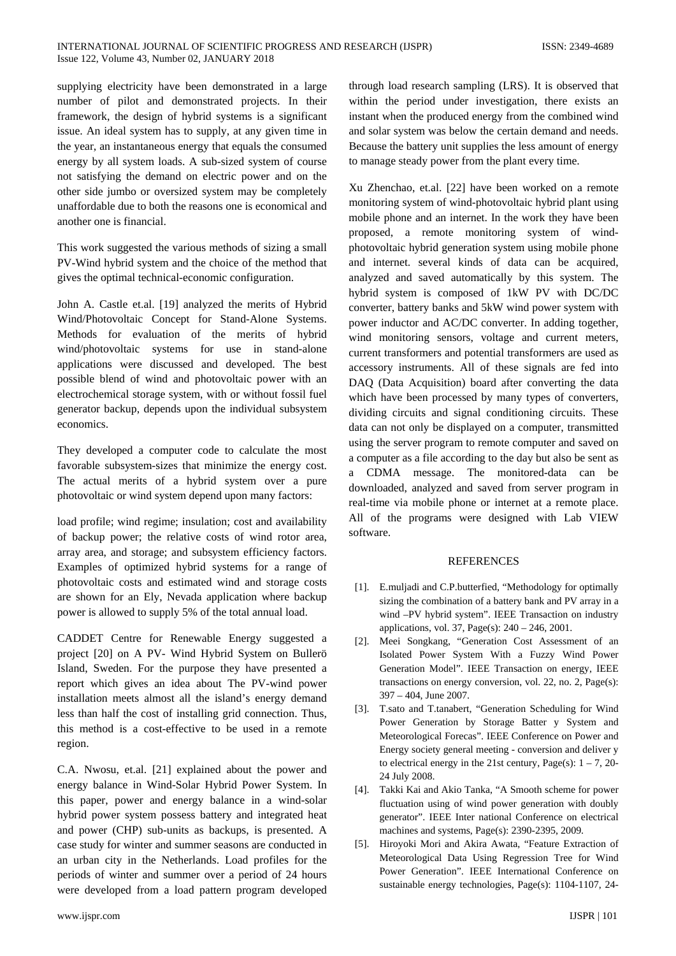supplying electricity have been demonstrated in a large number of pilot and demonstrated projects. In their framework, the design of hybrid systems is a significant issue. An ideal system has to supply, at any given time in the year, an instantaneous energy that equals the consumed energy by all system loads. A sub-sized system of course not satisfying the demand on electric power and on the other side jumbo or oversized system may be completely unaffordable due to both the reasons one is economical and another one is financial.

This work suggested the various methods of sizing a small PV-Wind hybrid system and the choice of the method that gives the optimal technical-economic configuration.

John A. Castle et.al. [19] analyzed the merits of Hybrid Wind/Photovoltaic Concept for Stand-Alone Systems. Methods for evaluation of the merits of hybrid wind/photovoltaic systems for use in stand-alone applications were discussed and developed. The best possible blend of wind and photovoltaic power with an electrochemical storage system, with or without fossil fuel generator backup, depends upon the individual subsystem economics.

They developed a computer code to calculate the most favorable subsystem-sizes that minimize the energy cost. The actual merits of a hybrid system over a pure photovoltaic or wind system depend upon many factors:

load profile; wind regime; insulation; cost and availability of backup power; the relative costs of wind rotor area, array area, and storage; and subsystem efficiency factors. Examples of optimized hybrid systems for a range of photovoltaic costs and estimated wind and storage costs are shown for an Ely, Nevada application where backup power is allowed to supply 5% of the total annual load.

CADDET Centre for Renewable Energy suggested a project [20] on A PV- Wind Hybrid System on Bullerö Island, Sweden. For the purpose they have presented a report which gives an idea about The PV-wind power installation meets almost all the island's energy demand less than half the cost of installing grid connection. Thus, this method is a cost-effective to be used in a remote region.

C.A. Nwosu, et.al. [21] explained about the power and energy balance in Wind-Solar Hybrid Power System. In this paper, power and energy balance in a wind-solar hybrid power system possess battery and integrated heat and power (CHP) sub-units as backups, is presented. A case study for winter and summer seasons are conducted in an urban city in the Netherlands. Load profiles for the periods of winter and summer over a period of 24 hours were developed from a load pattern program developed

through load research sampling (LRS). It is observed that within the period under investigation, there exists an instant when the produced energy from the combined wind and solar system was below the certain demand and needs. Because the battery unit supplies the less amount of energy to manage steady power from the plant every time.

Xu Zhenchao, et.al. [22] have been worked on a remote monitoring system of wind-photovoltaic hybrid plant using mobile phone and an internet. In the work they have been proposed, a remote monitoring system of windphotovoltaic hybrid generation system using mobile phone and internet. several kinds of data can be acquired, analyzed and saved automatically by this system. The hybrid system is composed of 1kW PV with DC/DC converter, battery banks and 5kW wind power system with power inductor and AC/DC converter. In adding together, wind monitoring sensors, voltage and current meters, current transformers and potential transformers are used as accessory instruments. All of these signals are fed into DAQ (Data Acquisition) board after converting the data which have been processed by many types of converters, dividing circuits and signal conditioning circuits. These data can not only be displayed on a computer, transmitted using the server program to remote computer and saved on a computer as a file according to the day but also be sent as a CDMA message. The monitored-data can be downloaded, analyzed and saved from server program in real-time via mobile phone or internet at a remote place. All of the programs were designed with Lab VIEW software.

#### **REFERENCES**

- [1]. E.muljadi and C.P.butterfied, "Methodology for optimally sizing the combination of a battery bank and PV array in a wind –PV hybrid system". IEEE Transaction on industry applications, vol. 37, Page(s): 240 – 246, 2001.
- [2]. Meei Songkang, "Generation Cost Assessment of an Isolated Power System With a Fuzzy Wind Power Generation Model". IEEE Transaction on energy, IEEE transactions on energy conversion, vol. 22, no. 2, Page(s): 397 – 404, June 2007.
- [3]. T.sato and T.tanabert, "Generation Scheduling for Wind Power Generation by Storage Batter y System and Meteorological Forecas". IEEE Conference on Power and Energy society general meeting - conversion and deliver y to electrical energy in the 21st century, Page(s):  $1 - 7$ , 20-24 July 2008.
- [4]. Takki Kai and Akio Tanka, "A Smooth scheme for power fluctuation using of wind power generation with doubly generator". IEEE Inter national Conference on electrical machines and systems, Page(s): 2390-2395, 2009.
- [5]. Hiroyoki Mori and Akira Awata, "Feature Extraction of Meteorological Data Using Regression Tree for Wind Power Generation". IEEE International Conference on sustainable energy technologies, Page(s): 1104-1107, 24-